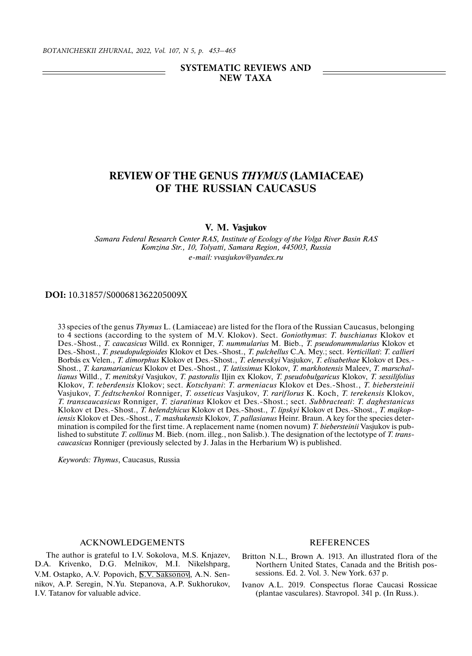## **SYSTEMATIC REVIEWS AND NEW TAXA**

# **REVIEW OF THE GENUS** *THYMUS* **(LAMIACEAE) OF THE RUSSIAN CAUCASUS**

#### **V. M. Vasjukov**

*Samara Federal Research Center RAS, Institute of Ecology of the Volga River Basin RAS Komzina Str., 10, Tolyatti, Samara Region, 445003, Russia e-mail: vvasjukov@yandex.ru*

#### **DOI:** 10.31857/S000681362205009X

33 species of the genus *Thymus* L. (Lamiaceae) are listed for the flora of the Russian Caucasus, belonging to 4 sections (according to the system of M.V. Klokov). Sect. *Goniothymus*: *T. buschianus* Klokov et Des.-Shost., *T. caucasicus* Willd. ex Ronniger, *T. nummularius* M. Bieb., *T. pseudonummularius* Klokov et Des.-Shost., *T. pseudopulegioides* Klokov et Des.-Shost., *T. pulchellus* C.A. Mey.; sect. *Verticillati*: *T. callieri* Borbás ex Velen., *T. dimorphus* Klokov et Des.-Shost., *T. elenevskyi* Vasjukov, *T. elisabethae* Klokov et Des.- Shost., *T. karamarianicus* Klokov et Des.-Shost., *T. latissimus* Klokov, *T. markhotensis* Maleev, *T. marschallianus* Willd., *T. menitskyi* Vasjukov, *T. pastoralis* Iljin ex Klokov, *T. pseudobulgaricus* Klokov, *T. sessilifolius* Klokov, *T. teberdensis* Klokov; sect. *Kotschyani*: *T. armeniacus* Klokov et Des.-Shost., *T. biebersteinii* Vasjukov, *T. fedtschenkoi* Ronniger, *T. osseticus* Vasjukov, *T. rariflorus* K. Koch, *T. terekensis* Klokov, *T. transcaucasicus* Ronniger, *T. ziaratinus* Klokov et Des.-Shost.; sect. *Subbracteati*: *T. daghestanicus* Klokov et Des.-Shost., *T. helendzhicus* Klokov et Des.-Shost., *T. lipskyi* Klokov et Des.-Shost., *T. majkopiensis* Klokov et Des.-Shost., *T. mashukensis* Klokov, *T. pallasianus* Heinr. Braun. A key for the species determination is compiled for the first time. A replacement name (nomen novum) *T. biebersteinii* Vasjukov is published to substitute *T. collinus* M. Bieb. (nom. illeg., non Salisb.). The designation of the lectotype of *T. transcaucasicus* Ronniger (previously selected by J. Jalas in the Herbarium W) is published.

*Keywords: Thymus*, Caucasus, Russia

### ACKNOWLEDGEMENTS

The author is grateful to I.V. Sokolova, M.S. Knjazev, D.A. Krivenko, D.G. Melnikov, M.I. Nikelshparg, V.M. Ostapko, A.V. Popovich, S.V. Saksonov, A.N. Sennikov, A.P. Seregin, N.Yu. Stepanova, A.P. Sukhorukov, I.V. Tatanov for valuable advice.

## REFERENCES

- Britton N.L., Brown A. 1913. An illustrated flora of the Northern United States, Canada and the British possessions. Ed. 2. Vol. 3. New York. 637 p.
- Ivanov A.L. 2019. Conspectus florae Caucasi Rossicae (plantae vasculares). Stavropol. 341 p. (In Russ.).